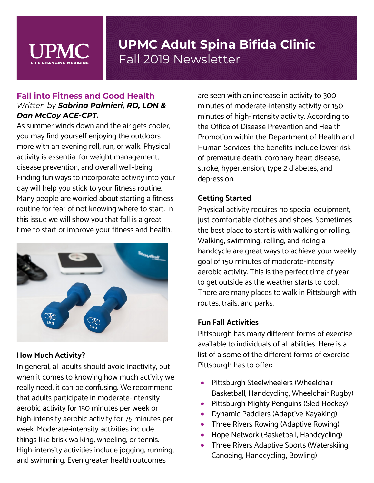

### **Fall into Fitness and Good Health** *Written by Sabrina Palmieri, RD, LDN & Dan McCoy ACE-CPT.*

As summer winds down and the air gets cooler, you may find yourself enjoying the outdoors more with an evening roll, run, or walk. Physical activity is essential for weight management, disease prevention, and overall well-being. Finding fun ways to incorporate activity into your day will help you stick to your fitness routine. Many people are worried about starting a fitness routine for fear of not knowing where to start. In this issue we will show you that fall is a great time to start or improve your fitness and health.



#### **How Much Activity?**

In general, all adults should avoid inactivity, but when it comes to knowing how much activity we really need, it can be confusing. We recommend that adults participate in moderate-intensity aerobic activity for 150 minutes per week or high-intensity aerobic activity for 75 minutes per week. Moderate-intensity activities include things like brisk walking, wheeling, or tennis. High-intensity activities include jogging, running, and swimming. Even greater health outcomes

are seen with an increase in activity to 300 minutes of moderate-intensity activity or 150 minutes of high-intensity activity. According to the Office of Disease Prevention and Health Promotion within the Department of Health and Human Services, the benefits include lower risk of premature death, coronary heart disease, stroke, hypertension, type 2 diabetes, and depression.

### **Getting Started**

Physical activity requires no special equipment, just comfortable clothes and shoes. Sometimes the best place to start is with walking or rolling. Walking, swimming, rolling, and riding a handcycle are great ways to achieve your weekly goal of 150 minutes of moderate-intensity aerobic activity. This is the perfect time of year to get outside as the weather starts to cool. There are many places to walk in Pittsburgh with routes, trails, and parks.

#### **Fun Fall Activities**

Pittsburgh has many different forms of exercise available to individuals of all abilities. Here is a list of a some of the different forms of exercise Pittsburgh has to offer:

- Pittsburgh Steelwheelers (Wheelchair Basketball, Handcycling, Wheelchair Rugby)
- Pittsburgh Mighty Penguins (Sled Hockey)
- Dynamic Paddlers (Adaptive Kayaking)
- Three Rivers Rowing (Adaptive Rowing)
- Hope Network (Basketball, Handcycling)
- Three Rivers Adaptive Sports (Waterskiing, Canoeing, Handcycling, Bowling)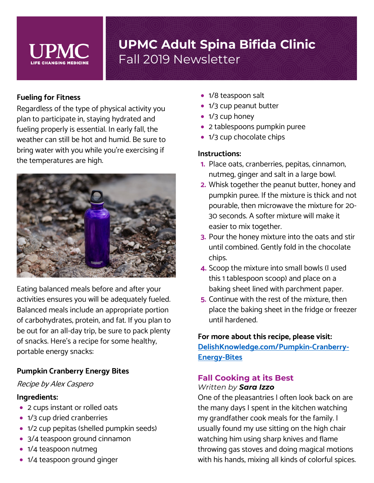

#### **Fueling for Fitness**

Regardless of the type of physical activity you plan to participate in, staying hydrated and fueling properly is essential. In early fall, the weather can still be hot and humid. Be sure to bring water with you while you're exercising if the temperatures are high.



Eating balanced meals before and after your activities ensures you will be adequately fueled. Balanced meals include an appropriate portion of carbohydrates, protein, and fat. If you plan to be out for an all-day trip, be sure to pack plenty of snacks. Here's a recipe for some healthy, portable energy snacks:

#### **Pumpkin Cranberry Energy Bites**

#### Recipe by Alex Caspero

#### **Ingredients:**

- 2 cups instant or rolled oats
- 1/3 cup dried cranberries
- 1/2 cup pepitas (shelled pumpkin seeds)
- 3/4 teaspoon ground cinnamon
- 1/4 teaspoon nutmeg
- 1/4 teaspoon ground ginger
- 1/8 teaspoon salt
- 1/3 cup peanut butter
- 1/3 cup honey
- 2 tablespoons pumpkin puree
- 1/3 cup chocolate chips

#### **Instructions:**

- **1.** Place oats, cranberries, pepitas, cinnamon, nutmeg, ginger and salt in a large bowl.
- **2.** Whisk together the peanut butter, honey and pumpkin puree. If the mixture is thick and not pourable, then microwave the mixture for 20- 30 seconds. A softer mixture will make it easier to mix together.
- **3.** Pour the honey mixture into the oats and stir until combined. Gently fold in the chocolate chips.
- **4.** Scoop the mixture into small bowls (I used this 1 tablespoon scoop) and place on a baking sheet lined with parchment paper.
- **5.** Continue with the rest of the mixture, then place the baking sheet in the fridge or freezer until hardened.

**For more about this recipe, please visit: [DelishKnowledge.com/Pumpkin-Cranberry-](https://www.delishknowledge.com/pumpkin-cranberry-energy-bites/)[Energy-Bites](https://www.delishknowledge.com/pumpkin-cranberry-energy-bites/)**

#### **Fall Cooking at its Best**  *Written by Sara Izzo*

One of the pleasantries I often look back on are the many days I spent in the kitchen watching my grandfather cook meals for the family. I usually found my use sitting on the high chair watching him using sharp knives and flame throwing gas stoves and doing magical motions with his hands, mixing all kinds of colorful spices.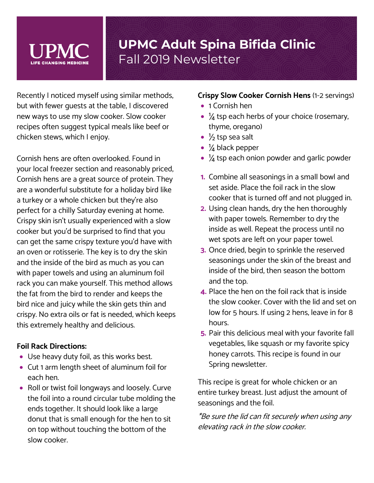Recently I noticed myself using similar methods, but with fewer guests at the table, I discovered new ways to use my slow cooker. Slow cooker recipes often suggest typical meals like beef or chicken stews, which I enjoy.

Cornish hens are often overlooked. Found in your local freezer section and reasonably priced, Cornish hens are a great source of protein. They are a wonderful substitute for a holiday bird like a turkey or a whole chicken but they're also perfect for a chilly Saturday evening at home. Crispy skin isn't usually experienced with a slow cooker but you'd be surprised to find that you can get the same crispy texture you'd have with an oven or rotisserie. The key is to dry the skin and the inside of the bird as much as you can with paper towels and using an aluminum foil rack you can make yourself. This method allows the fat from the bird to render and keeps the bird nice and juicy while the skin gets thin and crispy. No extra oils or fat is needed, which keeps this extremely healthy and delicious.

### **Foil Rack Directions:**

- Use heavy duty foil, as this works best.
- Cut 1 arm length sheet of aluminum foil for each hen.
- Roll or twist foil longways and loosely. Curve the foil into a round circular tube molding the ends together. It should look like a large donut that is small enough for the hen to sit on top without touching the bottom of the slow cooker.

#### **Crispy Slow Cooker Cornish Hens** (1-2 servings)

- 1 Cornish hen
- $\frac{1}{4}$  tsp each herbs of your choice (rosemary, thyme, oregano)
- $\frac{1}{2}$  tsp sea salt
- $\frac{1}{4}$  black pepper
- $\bullet$   $\frac{1}{4}$  tsp each onion powder and garlic powder
- **1.** Combine all seasonings in a small bowl and set aside. Place the foil rack in the slow cooker that is turned off and not plugged in.
- **2.** Using clean hands, dry the hen thoroughly with paper towels. Remember to dry the inside as well. Repeat the process until no wet spots are left on your paper towel.
- **3.** Once dried, begin to sprinkle the reserved seasonings under the skin of the breast and inside of the bird, then season the bottom and the top.
- **4.** Place the hen on the foil rack that is inside the slow cooker. Cover with the lid and set on low for 5 hours. If using 2 hens, leave in for 8 hours.
- **5.** Pair this delicious meal with your favorite fall vegetables, like squash or my favorite spicy honey carrots. This recipe is found in our Spring newsletter.

This recipe is great for whole chicken or an entire turkey breast. Just adjust the amount of seasonings and the foil.

\*Be sure the lid can fit securely when using any elevating rack in the slow cooker.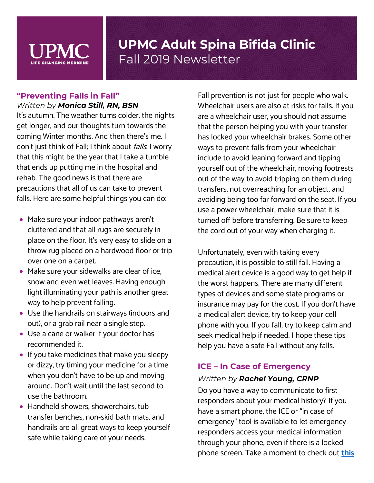

### **"Preventing Falls in Fall"** *Written by Monica Still, RN, BSN*

It's autumn. The weather turns colder, the nights get longer, and our thoughts turn towards the coming Winter months. And then there's me. I don't just think of Fall; I think about *falls*. I worry that this might be the year that I take a tumble that ends up putting me in the hospital and rehab. The good news is that there are precautions that all of us can take to prevent falls. Here are some helpful things you can do:

- Make sure your indoor pathways aren't cluttered and that all rugs are securely in place on the floor. It's very easy to slide on a throw rug placed on a hardwood floor or trip over one on a carpet.
- Make sure your sidewalks are clear of ice, snow and even wet leaves. Having enough light illuminating your path is another great way to help prevent falling.
- Use the handrails on stairways (indoors and out), or a grab rail near a single step.
- Use a cane or walker if your doctor has recommended it.
- If you take medicines that make you sleepy or dizzy, try timing your medicine for a time when you don't have to be up and moving around. Don't wait until the last second to use the bathroom.
- Handheld showers, showerchairs, tub transfer benches, non-skid bath mats, and handrails are all great ways to keep yourself safe while taking care of your needs.

Fall prevention is not just for people who walk. Wheelchair users are also at risks for falls. If you are a wheelchair user, you should not assume that the person helping you with your transfer has locked your wheelchair brakes. Some other ways to prevent falls from your wheelchair include to avoid leaning forward and tipping yourself out of the wheelchair, moving footrests out of the way to avoid tripping on them during transfers, not overreaching for an object, and avoiding being too far forward on the seat. If you use a power wheelchair, make sure that it is turned off before transferring. Be sure to keep the cord out of your way when charging it.

Unfortunately, even with taking every precaution, it is possible to still fall. Having a medical alert device is a good way to get help if the worst happens. There are many different types of devices and some state programs or insurance may pay for the cost. If you don't have a medical alert device, try to keep your cell phone with you. If you fall, try to keep calm and seek medical help if needed. I hope these tips help you have a safe Fall without any falls.

### **ICE – In Case of Emergency**

#### *Written by Rachel Young, CRNP*

Do you have a way to communicate to first responders about your medical history? If you have a smart phone, the ICE or "in case of emergency" tool is available to let emergency responders access your medical information through your phone, even if there is a locked phone screen. Take a moment to check out **[this](https://www.huffpost.com/entry/android-iphone-emergency-contact-ice_l_5ce2e6aee4b075a35a2b9250)**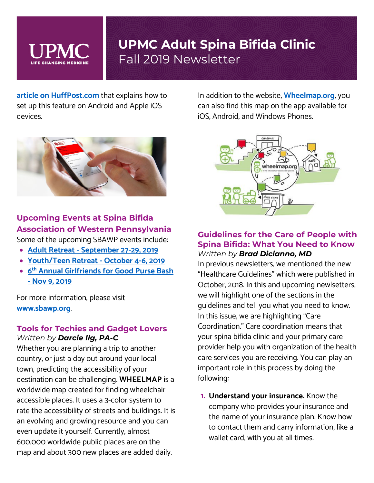

**[article on HuffPost.com](https://www.huffpost.com/entry/android-iphone-emergency-contact-ice_l_5ce2e6aee4b075a35a2b9250)** that explains how to set up this feature on Android and Apple iOS devices.



### **Upcoming Events at Spina Bifida Association of Western Pennsylvania**

Some of the upcoming SBAWP events include:

- **Adult Retreat - [September 27-29, 2019](https://sbawp.org/events/adult-retreat-september/)**
- **[Youth/Teen Retreat](https://sbawp.org/events/youth-teen-retreat-october-4-6/) - October 4-6, 2019**
- **6th [Annual Girlfriends for Good Purse Bash](https://sbawp.org/events/girlfriends-for-good-purse-bash/) - [Nov 9, 2019](https://sbawp.org/events/girlfriends-for-good-purse-bash/)**

For more information, please visit **[www.sbawp.org](http://www.sbawp.org/)**.

#### **Tools for Techies and Gadget Lovers**  *Written by Darcie Ilg, PA-C*

Whether you are planning a trip to another country, or just a day out around your local town, predicting the accessibility of your destination can be challenging. **WHEELMAP** is a worldwide map created for finding wheelchair accessible places. It uses a 3-color system to rate the accessibility of streets and buildings. It is an evolving and growing resource and you can even update it yourself. Currently, almost 600,000 worldwide public places are on the map and about 300 new places are added daily.

In addition to the website, **[Wheelmap.org](https://wheelmap.org/)**, you can also find this map on the app available for iOS, Android, and Windows Phones.



#### **Guidelines for the Care of People with Spina Bifida: What You Need to Know** *Written by Brad Dicianno, MD*

In previous newsletters, we mentioned the new "Healthcare Guidelines" which were published in October, 2018. In this and upcoming newlsetters, we will highlight one of the sections in the guidelines and tell you what you need to know. In this issue, we are highlighting "Care Coordination." Care coordination means that your spina bifida clinic and your primary care provider help you with organization of the health care services you are receiving. You can play an important role in this process by doing the following:

**1. Understand your insurance.** Know the company who provides your insurance and the name of your insurance plan. Know how to contact them and carry information, like a wallet card, with you at all times.